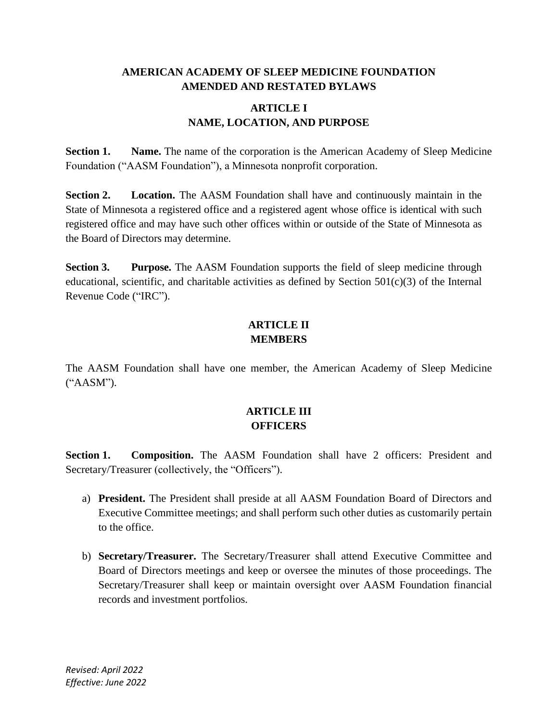### **AMERICAN ACADEMY OF SLEEP MEDICINE FOUNDATION AMENDED AND RESTATED BYLAWS**

### **ARTICLE I NAME, LOCATION, AND PURPOSE**

**Section 1. Name.** The name of the corporation is the American Academy of Sleep Medicine Foundation ("AASM Foundation"), a Minnesota nonprofit corporation.

**Section 2. Location.** The AASM Foundation shall have and continuously maintain in the State of Minnesota a registered office and a registered agent whose office is identical with such registered office and may have such other offices within or outside of the State of Minnesota as the Board of Directors may determine.

**Section 3. Purpose.** The AASM Foundation supports the field of sleep medicine through educational, scientific, and charitable activities as defined by Section  $501(c)(3)$  of the Internal Revenue Code ("IRC").

# **ARTICLE II MEMBERS**

The AASM Foundation shall have one member, the American Academy of Sleep Medicine ("AASM").

# **ARTICLE III OFFICERS**

**Section 1. Composition.** The AASM Foundation shall have 2 officers: President and Secretary/Treasurer (collectively, the "Officers").

- a) **President.** The President shall preside at all AASM Foundation Board of Directors and Executive Committee meetings; and shall perform such other duties as customarily pertain to the office.
- b) **Secretary/Treasurer.** The Secretary/Treasurer shall attend Executive Committee and Board of Directors meetings and keep or oversee the minutes of those proceedings. The Secretary/Treasurer shall keep or maintain oversight over AASM Foundation financial records and investment portfolios.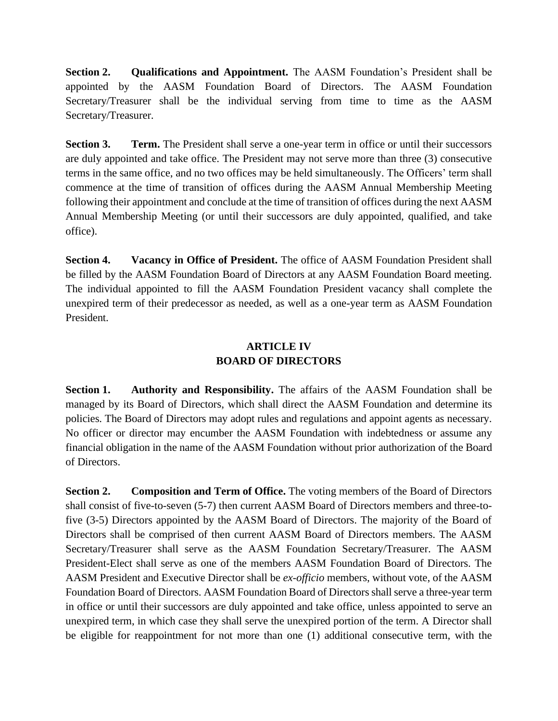**Section 2. Qualifications and Appointment.** The AASM Foundation's President shall be appointed by the AASM Foundation Board of Directors. The AASM Foundation Secretary/Treasurer shall be the individual serving from time to time as the AASM Secretary/Treasurer.

**Section 3. Term.** The President shall serve a one-year term in office or until their successors are duly appointed and take office. The President may not serve more than three (3) consecutive terms in the same office, and no two offices may be held simultaneously. The Officers' term shall commence at the time of transition of offices during the AASM Annual Membership Meeting following their appointment and conclude at the time of transition of offices during the next AASM Annual Membership Meeting (or until their successors are duly appointed, qualified, and take office).

**Section 4. Vacancy in Office of President.** The office of AASM Foundation President shall be filled by the AASM Foundation Board of Directors at any AASM Foundation Board meeting. The individual appointed to fill the AASM Foundation President vacancy shall complete the unexpired term of their predecessor as needed, as well as a one-year term as AASM Foundation President.

### **ARTICLE IV BOARD OF DIRECTORS**

**Section 1. Authority and Responsibility.** The affairs of the AASM Foundation shall be managed by its Board of Directors, which shall direct the AASM Foundation and determine its policies. The Board of Directors may adopt rules and regulations and appoint agents as necessary. No officer or director may encumber the AASM Foundation with indebtedness or assume any financial obligation in the name of the AASM Foundation without prior authorization of the Board of Directors.

**Section 2. Composition and Term of Office.** The voting members of the Board of Directors shall consist of five-to-seven (5-7) then current AASM Board of Directors members and three-tofive (3-5) Directors appointed by the AASM Board of Directors. The majority of the Board of Directors shall be comprised of then current AASM Board of Directors members. The AASM Secretary/Treasurer shall serve as the AASM Foundation Secretary/Treasurer. The AASM President-Elect shall serve as one of the members AASM Foundation Board of Directors. The AASM President and Executive Director shall be *ex-officio* members, without vote, of the AASM Foundation Board of Directors. AASM Foundation Board of Directors shall serve a three-year term in office or until their successors are duly appointed and take office, unless appointed to serve an unexpired term, in which case they shall serve the unexpired portion of the term. A Director shall be eligible for reappointment for not more than one (1) additional consecutive term, with the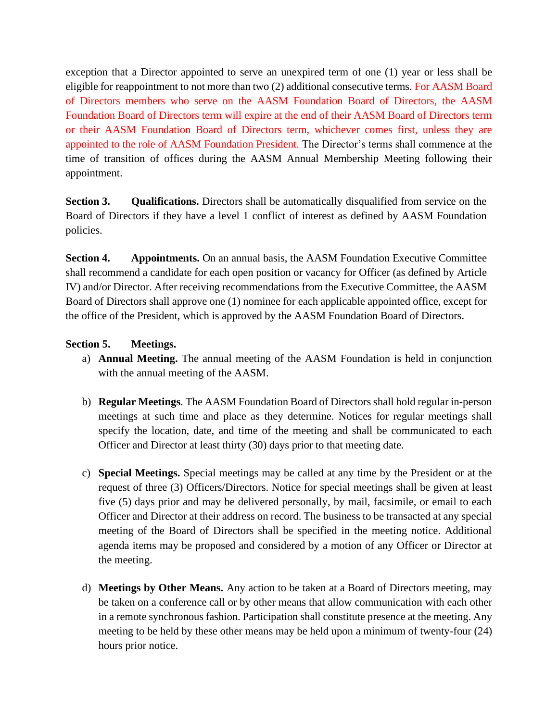exception that a Director appointed to serve an unexpired term of one (1) year or less shall be eligible for reappointment to not more than two (2) additional consecutive terms. For AASM Board of Directors members who serve on the AASM Foundation Board of Directors, the AASM Foundation Board of Directors term will expire at the end of their AASM Board of Directors term or their AASM Foundation Board of Directors term, whichever comes first, unless they are appointed to the role of AASM Foundation President. The Director's terms shall commence at the time of transition of offices during the AASM Annual Membership Meeting following their appointment.

**Section 3. Qualifications.** Directors shall be automatically disqualified from service on the Board of Directors if they have a level 1 conflict of interest as defined by AASM Foundation policies.

**Section 4. Appointments.** On an annual basis, the AASM Foundation Executive Committee shall recommend a candidate for each open position or vacancy for Officer (as defined by Article IV) and/or Director. After receiving recommendations from the Executive Committee, the AASM Board of Directors shall approve one (1) nominee for each applicable appointed office, except for the office of the President, which is approved by the AASM Foundation Board of Directors.

#### **Section 5. Meetings.**

- a) **Annual Meeting.** The annual meeting of the AASM Foundation is held in conjunction with the annual meeting of the AASM.
- b) **Regular Meetings***.* The AASM Foundation Board of Directors shall hold regular in-person meetings at such time and place as they determine. Notices for regular meetings shall specify the location, date, and time of the meeting and shall be communicated to each Officer and Director at least thirty (30) days prior to that meeting date.
- c) **Special Meetings.** Special meetings may be called at any time by the President or at the request of three (3) Officers/Directors. Notice for special meetings shall be given at least five (5) days prior and may be delivered personally, by mail, facsimile, or email to each Officer and Director at their address on record. The business to be transacted at any special meeting of the Board of Directors shall be specified in the meeting notice. Additional agenda items may be proposed and considered by a motion of any Officer or Director at the meeting.
- d) **Meetings by Other Means.** Any action to be taken at a Board of Directors meeting, may be taken on a conference call or by other means that allow communication with each other in a remote synchronous fashion. Participation shall constitute presence at the meeting. Any meeting to be held by these other means may be held upon a minimum of twenty-four (24) hours prior notice.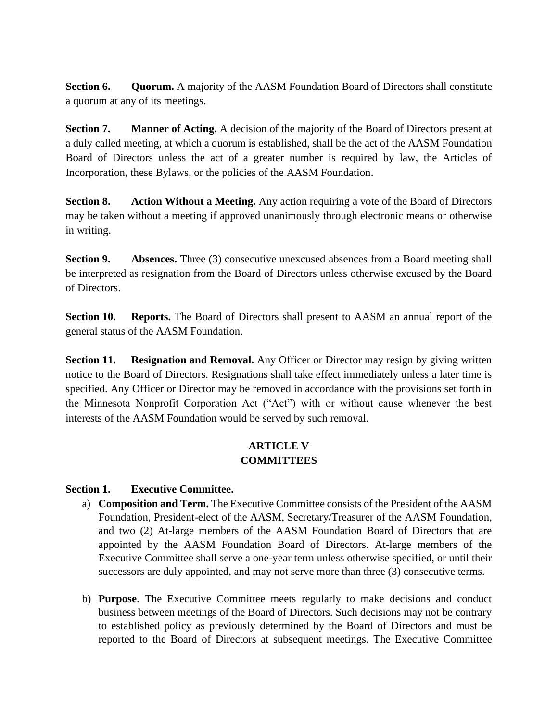**Section 6. Quorum.** A majority of the AASM Foundation Board of Directors shall constitute a quorum at any of its meetings.

**Section 7. Manner of Acting.** A decision of the majority of the Board of Directors present at a duly called meeting, at which a quorum is established, shall be the act of the AASM Foundation Board of Directors unless the act of a greater number is required by law, the Articles of Incorporation, these Bylaws, or the policies of the AASM Foundation.

**Section 8. Action Without a Meeting.** Any action requiring a vote of the Board of Directors may be taken without a meeting if approved unanimously through electronic means or otherwise in writing.

**Section 9. Absences.** Three (3) consecutive unexcused absences from a Board meeting shall be interpreted as resignation from the Board of Directors unless otherwise excused by the Board of Directors.

**Section 10. • Reports.** The Board of Directors shall present to AASM an annual report of the general status of the AASM Foundation.

**Section 11. Resignation and Removal.** Any Officer or Director may resign by giving written notice to the Board of Directors. Resignations shall take effect immediately unless a later time is specified. Any Officer or Director may be removed in accordance with the provisions set forth in the Minnesota Nonprofit Corporation Act ("Act") with or without cause whenever the best interests of the AASM Foundation would be served by such removal.

# **ARTICLE V COMMITTEES**

#### **Section 1. Executive Committee.**

- a) **Composition and Term.** The Executive Committee consists of the President of the AASM Foundation, President-elect of the AASM, Secretary/Treasurer of the AASM Foundation, and two (2) At-large members of the AASM Foundation Board of Directors that are appointed by the AASM Foundation Board of Directors. At-large members of the Executive Committee shall serve a one-year term unless otherwise specified, or until their successors are duly appointed, and may not serve more than three (3) consecutive terms.
- b) **Purpose**. The Executive Committee meets regularly to make decisions and conduct business between meetings of the Board of Directors. Such decisions may not be contrary to established policy as previously determined by the Board of Directors and must be reported to the Board of Directors at subsequent meetings. The Executive Committee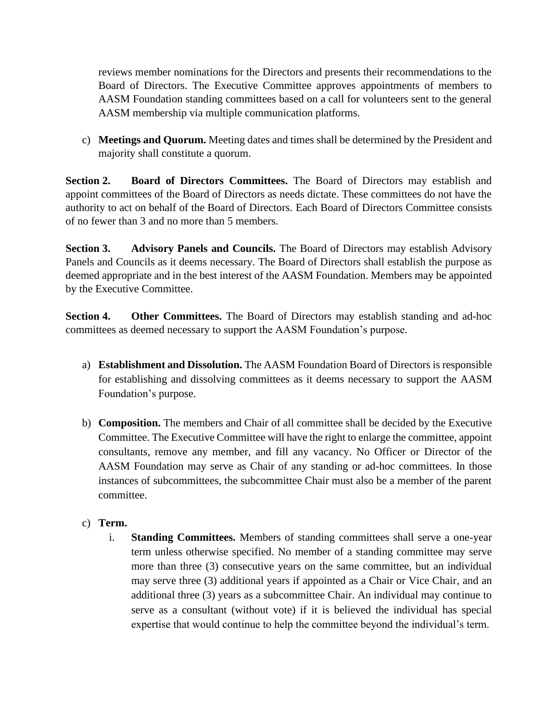reviews member nominations for the Directors and presents their recommendations to the Board of Directors. The Executive Committee approves appointments of members to AASM Foundation standing committees based on a call for volunteers sent to the general AASM membership via multiple communication platforms.

c) **Meetings and Quorum.** Meeting dates and times shall be determined by the President and majority shall constitute a quorum.

**Section 2. Board of Directors Committees.** The Board of Directors may establish and appoint committees of the Board of Directors as needs dictate. These committees do not have the authority to act on behalf of the Board of Directors. Each Board of Directors Committee consists of no fewer than 3 and no more than 5 members.

**Section 3. Advisory Panels and Councils.** The Board of Directors may establish Advisory Panels and Councils as it deems necessary. The Board of Directors shall establish the purpose as deemed appropriate and in the best interest of the AASM Foundation. Members may be appointed by the Executive Committee.

**Section 4.** Other Committees. The Board of Directors may establish standing and ad-hoc committees as deemed necessary to support the AASM Foundation's purpose.

- a) **Establishment and Dissolution.** The AASM Foundation Board of Directors is responsible for establishing and dissolving committees as it deems necessary to support the AASM Foundation's purpose.
- b) **Composition.** The members and Chair of all committee shall be decided by the Executive Committee. The Executive Committee will have the right to enlarge the committee, appoint consultants, remove any member, and fill any vacancy. No Officer or Director of the AASM Foundation may serve as Chair of any standing or ad-hoc committees. In those instances of subcommittees, the subcommittee Chair must also be a member of the parent committee.
- c) **Term.**
	- i. **Standing Committees.** Members of standing committees shall serve a one-year term unless otherwise specified. No member of a standing committee may serve more than three (3) consecutive years on the same committee, but an individual may serve three (3) additional years if appointed as a Chair or Vice Chair, and an additional three (3) years as a subcommittee Chair. An individual may continue to serve as a consultant (without vote) if it is believed the individual has special expertise that would continue to help the committee beyond the individual's term.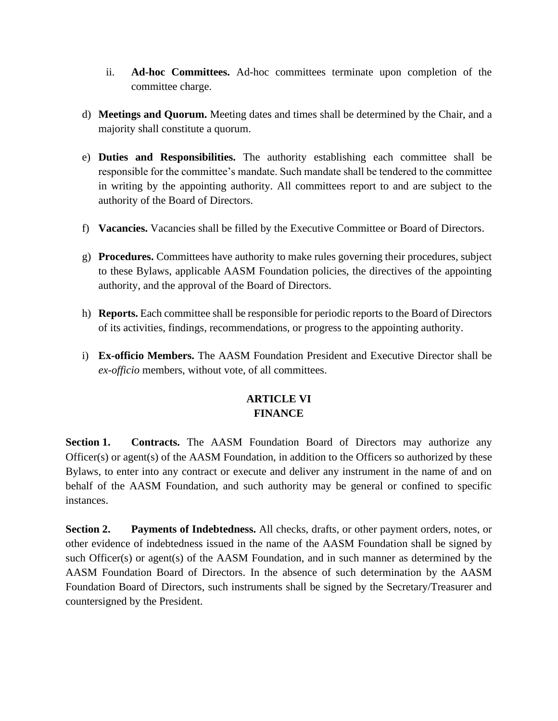- ii. **Ad-hoc Committees.** Ad-hoc committees terminate upon completion of the committee charge.
- d) **Meetings and Quorum.** Meeting dates and times shall be determined by the Chair, and a majority shall constitute a quorum.
- e) **Duties and Responsibilities.** The authority establishing each committee shall be responsible for the committee's mandate. Such mandate shall be tendered to the committee in writing by the appointing authority. All committees report to and are subject to the authority of the Board of Directors.
- f) **Vacancies.** Vacancies shall be filled by the Executive Committee or Board of Directors.
- g) **Procedures.** Committees have authority to make rules governing their procedures, subject to these Bylaws, applicable AASM Foundation policies, the directives of the appointing authority, and the approval of the Board of Directors.
- h) **Reports.** Each committee shall be responsible for periodic reports to the Board of Directors of its activities, findings, recommendations, or progress to the appointing authority.
- i) **Ex-officio Members.** The AASM Foundation President and Executive Director shall be *ex-officio* members, without vote, of all committees.

# **ARTICLE VI FINANCE**

**Section 1. Contracts.** The AASM Foundation Board of Directors may authorize any Officer(s) or agent(s) of the AASM Foundation, in addition to the Officers so authorized by these Bylaws, to enter into any contract or execute and deliver any instrument in the name of and on behalf of the AASM Foundation, and such authority may be general or confined to specific instances.

**Section 2. Payments of Indebtedness.** All checks, drafts, or other payment orders, notes, or other evidence of indebtedness issued in the name of the AASM Foundation shall be signed by such Officer(s) or agent(s) of the AASM Foundation, and in such manner as determined by the AASM Foundation Board of Directors. In the absence of such determination by the AASM Foundation Board of Directors, such instruments shall be signed by the Secretary/Treasurer and countersigned by the President.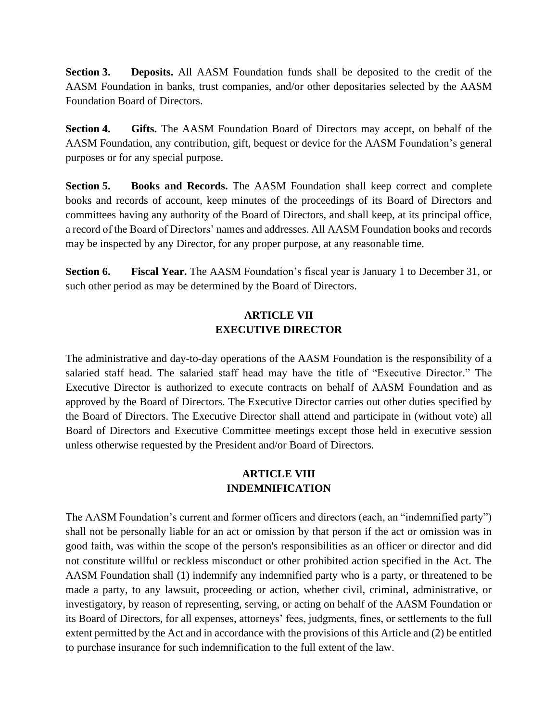**Section 3. Deposits.** All AASM Foundation funds shall be deposited to the credit of the AASM Foundation in banks, trust companies, and/or other depositaries selected by the AASM Foundation Board of Directors.

**Section 4. Gifts.** The AASM Foundation Board of Directors may accept, on behalf of the AASM Foundation, any contribution, gift, bequest or device for the AASM Foundation's general purposes or for any special purpose.

**Section 5. Books and Records.** The AASM Foundation shall keep correct and complete books and records of account, keep minutes of the proceedings of its Board of Directors and committees having any authority of the Board of Directors, and shall keep, at its principal office, a record of the Board of Directors' names and addresses. All AASM Foundation books and records may be inspected by any Director, for any proper purpose, at any reasonable time.

**Section 6. Fiscal Year.** The AASM Foundation's fiscal year is January 1 to December 31, or such other period as may be determined by the Board of Directors.

# **ARTICLE VII EXECUTIVE DIRECTOR**

The administrative and day-to-day operations of the AASM Foundation is the responsibility of a salaried staff head. The salaried staff head may have the title of "Executive Director." The Executive Director is authorized to execute contracts on behalf of AASM Foundation and as approved by the Board of Directors. The Executive Director carries out other duties specified by the Board of Directors. The Executive Director shall attend and participate in (without vote) all Board of Directors and Executive Committee meetings except those held in executive session unless otherwise requested by the President and/or Board of Directors.

# **ARTICLE VIII INDEMNIFICATION**

The AASM Foundation's current and former officers and directors (each, an "indemnified party") shall not be personally liable for an act or omission by that person if the act or omission was in good faith, was within the scope of the person's responsibilities as an officer or director and did not constitute willful or reckless misconduct or other prohibited action specified in the Act. The AASM Foundation shall (1) indemnify any indemnified party who is a party, or threatened to be made a party, to any lawsuit, proceeding or action, whether civil, criminal, administrative, or investigatory, by reason of representing, serving, or acting on behalf of the AASM Foundation or its Board of Directors, for all expenses, attorneys' fees, judgments, fines, or settlements to the full extent permitted by the Act and in accordance with the provisions of this Article and (2) be entitled to purchase insurance for such indemnification to the full extent of the law.